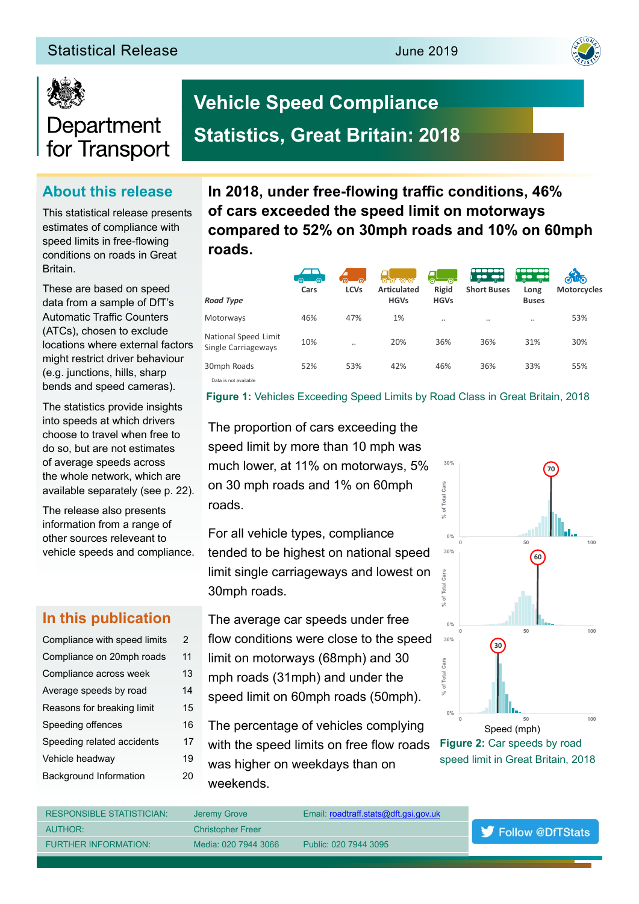## **Statistical Release June 2019**





# Department for Transport

## **About this release**

This statistical release presents estimates of compliance with speed limits in free-fowing conditions on roads in Great **Britain** 

These are based on speed data from a sample of DfT's Automatic Traffic Counters (ATCs), chosen to exclude locations where external factors might restrict driver behaviour (e.g. junctions, hills, sharp bends and speed cameras).

The statistics provide insights into speeds at which drivers choose to travel when free to do so, but are not estimates of average speeds across the whole network, which are available separately (see p. 22).

The release also presents information from a range of other sources releveant to vehicle speeds and compliance.

## **In this publication**

| Compliance with speed limits  | 2  |
|-------------------------------|----|
| Compliance on 20mph roads     | 11 |
| Compliance across week        | 13 |
| Average speeds by road        | 14 |
| Reasons for breaking limit    | 15 |
| Speeding offences             | 16 |
| Speeding related accidents    | 17 |
| Vehicle headway               | 19 |
| <b>Background Information</b> | 20 |

In 2018, under free-flowing traffic conditions, 46% **of cars exceeded the speed limit on motorways compared to 52% on 30mph roads and 10% on 60mph roads.**

| <b>Road Type</b>                            | ൟ<br>-ര<br>Cars | -ര<br><b>LCVs</b> | 0000<br><b>Articulated</b><br><b>HGVs</b> | $\overline{6}$<br>ాంా<br>Rigid<br><b>HGVs</b> | $\mathbb{L}$ $\mathbb{L}$ $\mathbb{L}$ $\mathbb{L}$ $\mathbb{L}$<br><b>Short Buses</b> | <b>Tigality</b><br>Long<br><b>Buses</b> | ௵<br><b>Motorcycles</b> |
|---------------------------------------------|-----------------|-------------------|-------------------------------------------|-----------------------------------------------|----------------------------------------------------------------------------------------|-----------------------------------------|-------------------------|
| Motorways                                   | 46%             | 47%               | 1%                                        |                                               | $\cdot$ .                                                                              |                                         | 53%                     |
| National Speed Limit<br>Single Carriageways | 10%             | $\cdot$           | 20%                                       | 36%                                           | 36%                                                                                    | 31%                                     | 30%                     |
| 30mph Roads                                 | 52%             | 53%               | 42%                                       | 46%                                           | 36%                                                                                    | 33%                                     | 55%                     |
| Data is not available                       |                 |                   |                                           |                                               |                                                                                        |                                         |                         |

**Figure 1:** Vehicles Exceeding Speed Limits by Road Class in Great Britain, 2018

The proportion of cars exceeding the speed limit by more than 10 mph was much lower, at 11% on motorways, 5% on 30 mph roads and 1% on 60mph

**Vehicle Speed Compliance** 

**Statistics, Great Britain: 2018**

roads.

For all vehicle types, compliance tended to be highest on national speed limit single carriageways and lowest on 30mph roads.

- The average car speeds under free
- flow conditions were close to the speed
- limit on motorways (68mph) and 30
- mph roads (31mph) and under the
- speed limit on 60mph roads (50mph).
- The percentage of vehicles complying
- with the speed limits on free flow roads
- was higher on weekdays than on weekends.



speed limit in Great Britain, 2018

RESPONSIBLE STATISTICIAN: Jeremy Grove Email: roadtraff.stats@dft.gsi.gov.uk AUTHOR: Christopher Freer Follow @DfTStats FURTHER INFORMATION: Media: 020 7944 3066 Public: 020 7944 3095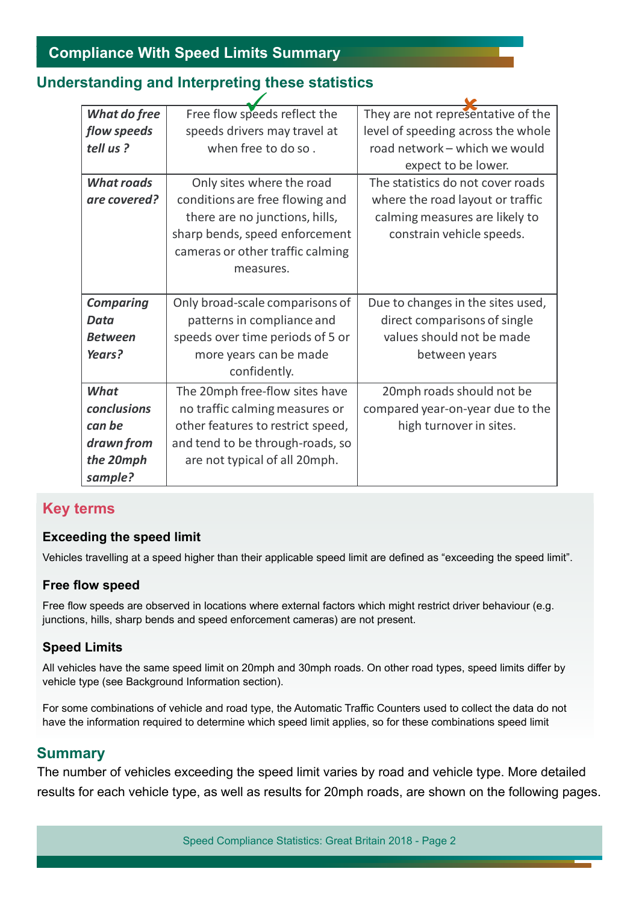## **Understanding and Interpreting these statistics**

| What do free      | Free flow speeds reflect the      | They are not representative of the |  |  |
|-------------------|-----------------------------------|------------------------------------|--|--|
| flow speeds       | speeds drivers may travel at      | level of speeding across the whole |  |  |
| tell us?          | when free to do so.               | road network - which we would      |  |  |
|                   |                                   | expect to be lower.                |  |  |
| <b>What roads</b> | Only sites where the road         | The statistics do not cover roads  |  |  |
| are covered?      | conditions are free flowing and   | where the road layout or traffic   |  |  |
|                   | there are no junctions, hills,    | calming measures are likely to     |  |  |
|                   | sharp bends, speed enforcement    | constrain vehicle speeds.          |  |  |
|                   | cameras or other traffic calming  |                                    |  |  |
|                   | measures.                         |                                    |  |  |
|                   |                                   |                                    |  |  |
| <b>Comparing</b>  | Only broad-scale comparisons of   | Due to changes in the sites used,  |  |  |
| <b>Data</b>       | patterns in compliance and        | direct comparisons of single       |  |  |
| <b>Between</b>    | speeds over time periods of 5 or  | values should not be made          |  |  |
| Years?            | more years can be made            | between years                      |  |  |
|                   | confidently.                      |                                    |  |  |
| What              | The 20mph free-flow sites have    | 20mph roads should not be          |  |  |
| conclusions       | no traffic calming measures or    | compared year-on-year due to the   |  |  |
| can be            | other features to restrict speed, | high turnover in sites.            |  |  |
| drawn from        | and tend to be through-roads, so  |                                    |  |  |
| the 20mph         | are not typical of all 20mph.     |                                    |  |  |
| sample?           |                                   |                                    |  |  |

## **Key terms**

## **Exceeding the speed limit**

Vehicles travelling at a speed higher than their applicable speed limit are defned as "exceeding the speed limit".

## **Free flow speed**

Free flow speeds are observed in locations where external factors which might restrict driver behaviour (e.g. junctions, hills, sharp bends and speed enforcement cameras) are not present.

## **Speed Limits**

All vehicles have the same speed limit on 20mph and 30mph roads. On other road types, speed limits difer by vehicle type (see Background Information section).

For some combinations of vehicle and road type, the Automatic Traffic Counters used to collect the data do not have the information required to determine which speed limit applies, so for these combinations speed limit

## **Summary**

The number of vehicles exceeding the speed limit varies by road and vehicle type. More detailed results for each vehicle type, as well as results for 20mph roads, are shown on the following pages.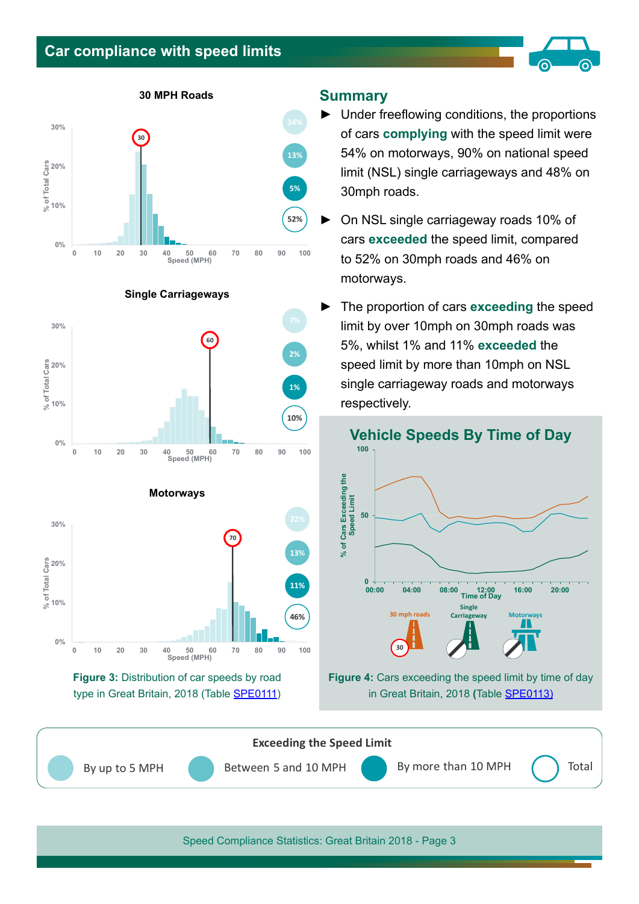## **Car compliance with speed limits**



**30 MPH Roads**





**Single Carriageways**







#### **Summary**

- ► Under freefowing conditions, the proportions of cars **complying** with the speed limit were 54% on motorways, 90% on national speed limit (NSL) single carriageways and 48% on 30mph roads.
- ► On NSL single carriageway roads 10% of cars **exceeded** the speed limit, compared to 52% on 30mph roads and 46% on motorways.
- ► The proportion of cars **exceeding** the speed limit by over 10mph on 30mph roads was 5%, whilst 1% and 11% **exceeded** the speed limit by more than 10mph on NSL single carriageway roads and motorways respectively.



**Figure 4:** Cars exceeding the speed limit by time of day in Great Britain, 2018 **(**Table [SPE0113\)](https://www.gov.uk/government/statistical-data-sets/spe01-vehicle-speeds)

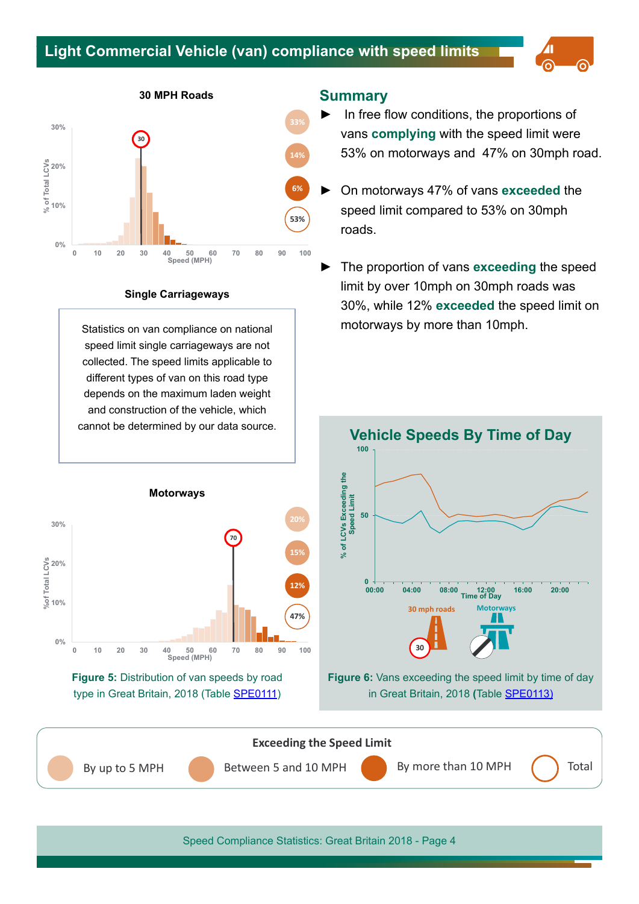## **Light Commercial Vehicle (van) compliance with speed limits**







#### **Single Carriageways**

Statistics on van compliance on national speed limit single carriageways are not collected. The speed limits applicable to diferent types of van on this road type depends on the maximum laden weight and construction of the vehicle, which cannot be determined by our data source.





#### **Summary**

- In free flow conditions, the proportions of vans **complying** with the speed limit were 53% on motorways and 47% on 30mph road.
- ► On motorways 47% of vans **exceeded** the speed limit compared to 53% on 30mph roads.
- ► The proportion of vans **exceeding** the speed limit by over 10mph on 30mph roads was 30%, while 12% **exceeded** the speed limit on motorways by more than 10mph.



**Figure 6:** Vans exceeding the speed limit by time of day in Great Britain, 2018 **(**Table [SPE0113\)](https://www.gov.uk/government/statistical-data-sets/spe01-vehicle-speeds)

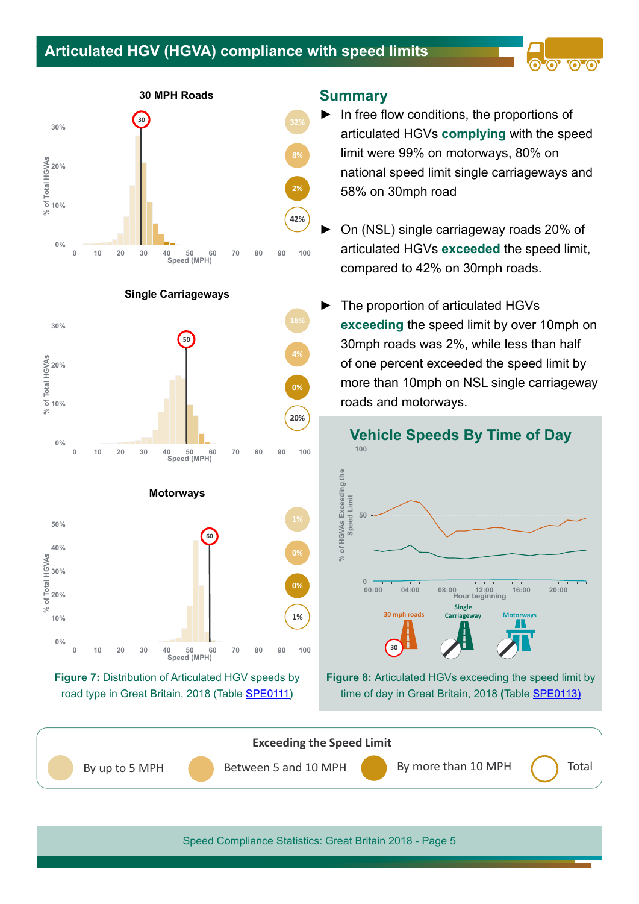## **Articulated HGV (HGVA) compliance with speed limits**





**Single Carriageways**







#### **Summary**

 $\blacktriangleright$  In free flow conditions, the proportions of articulated HGVs **complying** with the speed limit were 99% on motorways, 80% on national speed limit single carriageways and 58% on 30mph road

**00** 

- On (NSL) single carriageway roads 20% of articulated HGVs **exceeded** the speed limit, compared to 42% on 30mph roads.
- The proportion of articulated HGVs **exceeding** the speed limit by over 10mph on 30mph roads was 2%, while less than half of one percent exceeded the speed limit by more than 10mph on NSL single carriageway roads and motorways.



**Figure 8:** Articulated HGVs exceeding the speed limit by time of day in Great Britain, 2018 **(**Table [SPE0113\)](https://www.gov.uk/government/statistical-data-sets/spe01-vehicle-speeds)

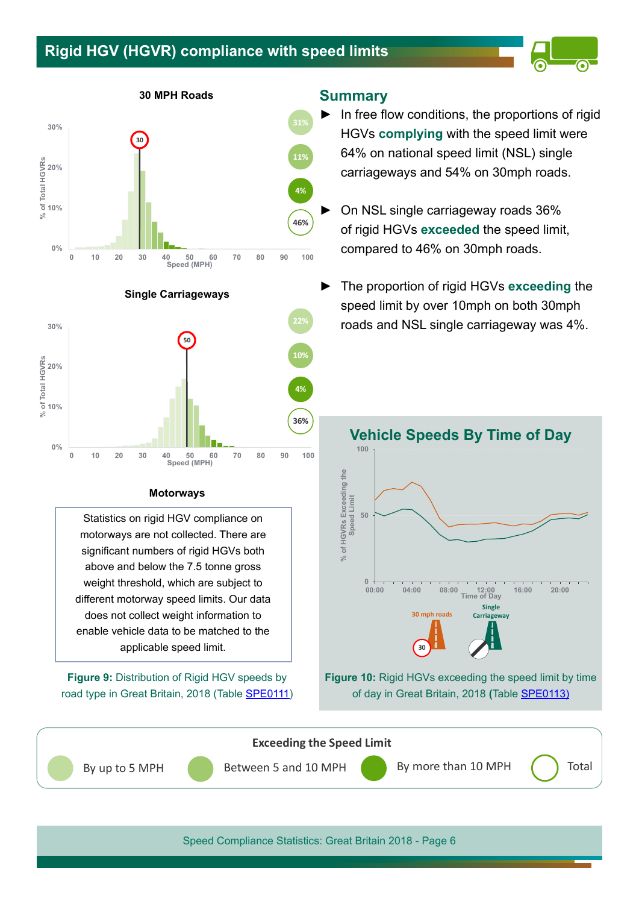## **Rigid HGV (HGVR) compliance with speed limits**



**30 MPH Roads**







#### **Motorways**

Statistics on rigid HGV compliance on motorways are not collected. There are signifcant numbers of rigid HGVs both above and below the 7.5 tonne gross weight threshold, which are subject to diferent motorway speed limits. Our data does not collect weight information to enable vehicle data to be matched to the applicable speed limit.

**Figure 9:** Distribution of Rigid HGV speeds by road type in Great Britain, 2018 (Table [SPE0111\)](https://www.gov.uk/government/statistical-data-sets/vehicle-speed-compliance-statistics-data-tables-spe)

#### **Summary**

- ► In free fow conditions, the proportions of rigid HGVs **complying** with the speed limit were 64% on national speed limit (NSL) single carriageways and 54% on 30mph roads.
- On NSL single carriageway roads 36% of rigid HGVs **exceeded** the speed limit, compared to 46% on 30mph roads.
- ► The proportion of rigid HGVs **exceeding** the speed limit by over 10mph on both 30mph roads and NSL single carriageway was 4%.



**Figure 10:** Rigid HGVs exceeding the speed limit by time of day in Great Britain, 2018 **(**Table [SPE0113\)](https://www.gov.uk/government/statistical-data-sets/spe01-vehicle-speeds)

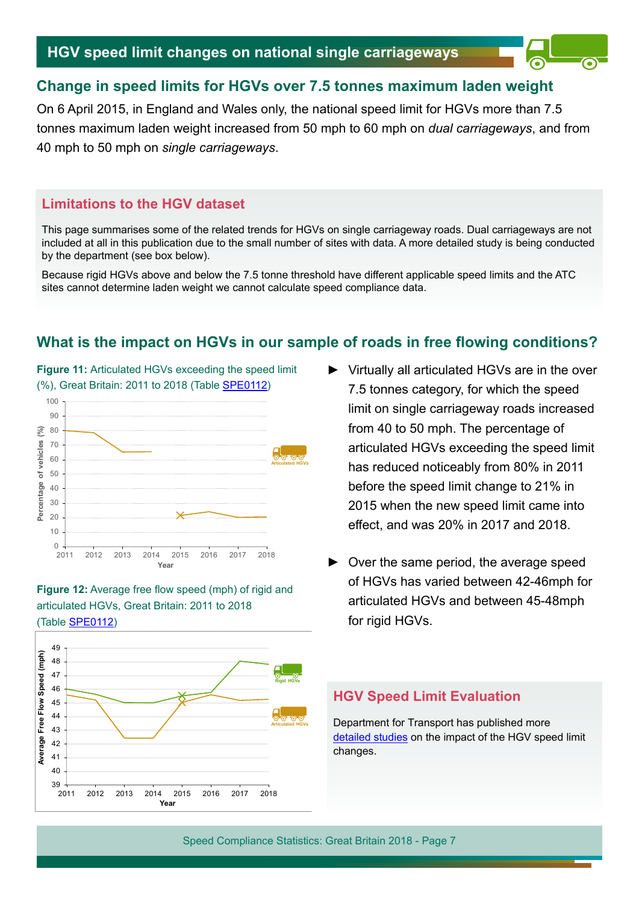## **Change in speed limits for HGVs over 7.5 tonnes maximum laden weight**

On 6 April 2015, in England and Wales only, the national speed limit for HGVs more than 7.5 tonnes maximum laden weight increased from 50 mph to 60 mph on *dual carriageways*, and from 40 mph to 50 mph on *single carriageways*.

## **Limitations to the HGV dataset**

This page summarises some of the related trends for HGVs on single carriageway roads. Dual carriageways are not included at all in this publication due to the small number of sites with data. A more detailed study is being conducted by the department (see box below).

Because rigid HGVs above and below the 7.5 tonne threshold have diferent applicable speed limits and the ATC sites cannot determine laden weight we cannot calculate speed compliance data.

## **What is the impact on HGVs in our sample of roads in free fowing conditions?**









- Virtually all articulated HGVs are in the over 7.5 tonnes category, for which the speed limit on single carriageway roads increased from 40 to 50 mph. The percentage of articulated HGVs exceeding the speed limit has reduced noticeably from 80% in 2011 before the speed limit change to 21% in 2015 when the new speed limit came into efect, and was 20% in 2017 and 2018.
- ► Over the same period, the average speed of HGVs has varied between 42-46mph for articulated HGVs and between 45-48mph for rigid HGVs.

## **HGV Speed Limit Evaluation**

Department for Transport has published more [detailed studies](https://www.gov.uk/government/publications/second-report-on-the-increased-speed-limit-for-heavy-goods-vehicles) on the impact of the HGV speed limit changes.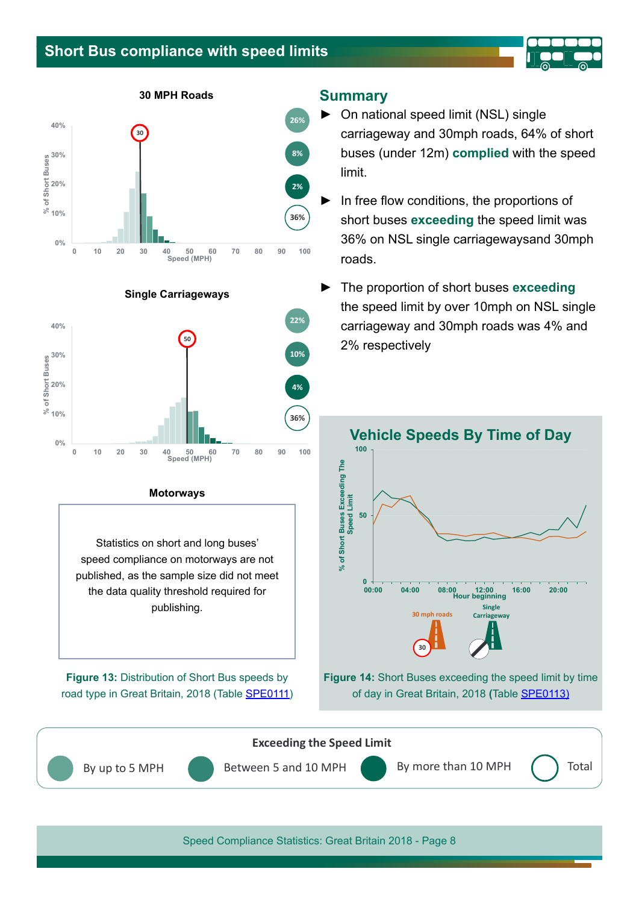## **Short Bus compliance with speed limits**



**30 MPH Roads**





#### **Motorways**

Statistics on short and long buses' speed compliance on motorways are not published, as the sample size did not meet the data quality threshold required for publishing.

**Figure 13:** Distribution of Short Bus speeds by road type in Great Britain, 2018 (Table [SPE011](https://www.gov.uk/government/statistical-data-sets/vehicle-speed-compliance-statistics-data-tables-spe)1)

#### **Summary**

- ► On national speed limit (NSL) single carriageway and 30mph roads, 64% of short buses (under 12m) **complied** with the speed limit.
- In free flow conditions, the proportions of short buses **exceeding** the speed limit was 36% on NSL single carriagewaysand 30mph roads.
- ► The proportion of short buses **exceeding**  the speed limit by over 10mph on NSL single carriageway and 30mph roads was 4% and 2% respectively



**Figure 14:** Short Buses exceeding the speed limit by time of day in Great Britain, 2018 **(**Table [SPE0113](https://www.gov.uk/government/statistical-data-sets/spe01-vehicle-speeds))

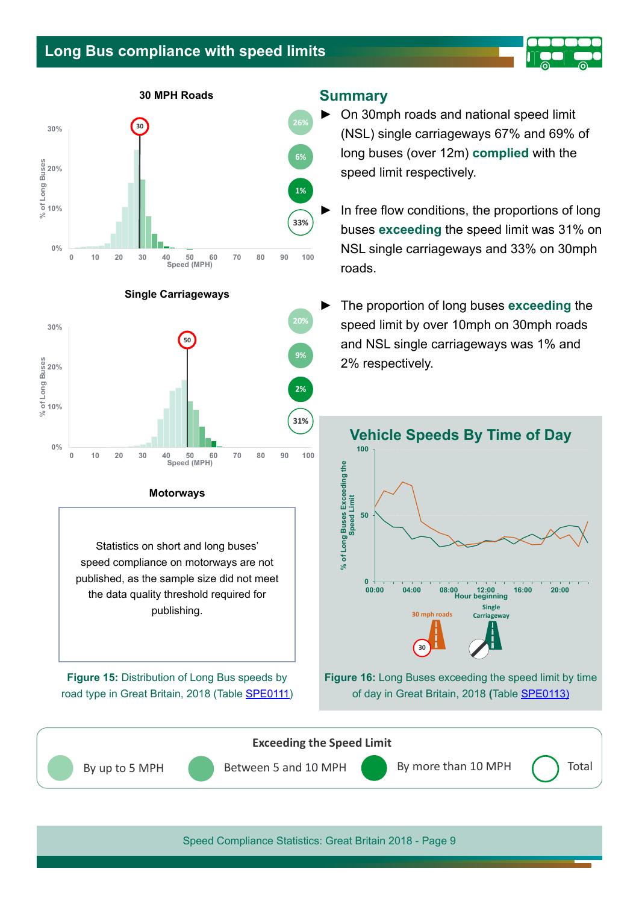## **Long Bus compliance with speed limits**

**30 MPH Roads**









**0 10 20 30 40 50 60 70 80 90 100**

**0%**

Statistics on short and long buses' speed compliance on motorways are not published, as the sample size did not meet the data quality threshold required for publishing.

**Figure 15:** Distribution of Long Bus speeds by road type in Great Britain, 2018 (Table [SPE0111\)](https://www.gov.uk/government/statistical-data-sets/vehicle-speed-compliance-statistics-data-tables-spe)

#### **Summary**

- ► On 30mph roads and national speed limit (NSL) single carriageways 67% and 69% of long buses (over 12m) **complied** with the speed limit respectively.
	- In free flow conditions, the proportions of long buses **exceeding** the speed limit was 31% on NSL single carriageways and 33% on 30mph roads.
	- ► The proportion of long buses **exceeding** the speed limit by over 10mph on 30mph roads and NSL single carriageways was 1% and 2% respectively.



**Figure 16:** Long Buses exceeding the speed limit by time of day in Great Britain, 2018 **(**Table [SPE0113\)](https://www.gov.uk/government/statistical-data-sets/spe01-vehicle-speeds)



**31%**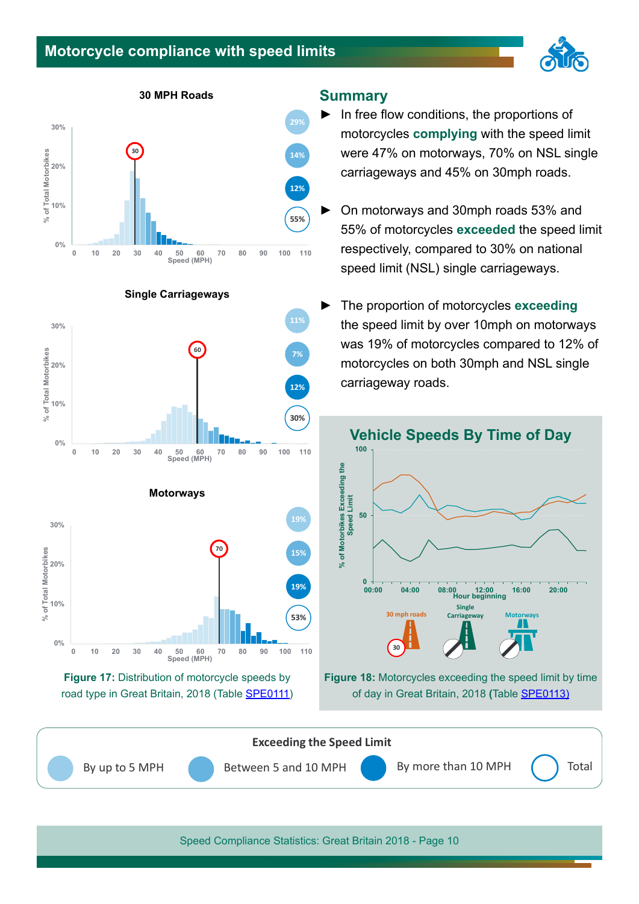## **Motorcycle compliance with speed limits**



**30 MPH Roads**









#### **Summary**

- ► In free fow conditions, the proportions of motorcycles **complying** with the speed limit were 47% on motorways, 70% on NSL single carriageways and 45% on 30mph roads.
- ► On motorways and 30mph roads 53% and 55% of motorcycles **exceeded** the speed limit respectively, compared to 30% on national speed limit (NSL) single carriageways.
- ► The proportion of motorcycles **exceeding**  the speed limit by over 10mph on motorways was 19% of motorcycles compared to 12% of motorcycles on both 30mph and NSL single carriageway roads.



**Figure 18:** Motorcycles exceeding the speed limit by time of day in Great Britain, 2018 **(**Table [SPE0113\)](https://www.gov.uk/government/statistical-data-sets/spe01-vehicle-speeds)



Speed Compliance Statistics: Great Britain 2018 - Page 10

#### **Single Carriageways**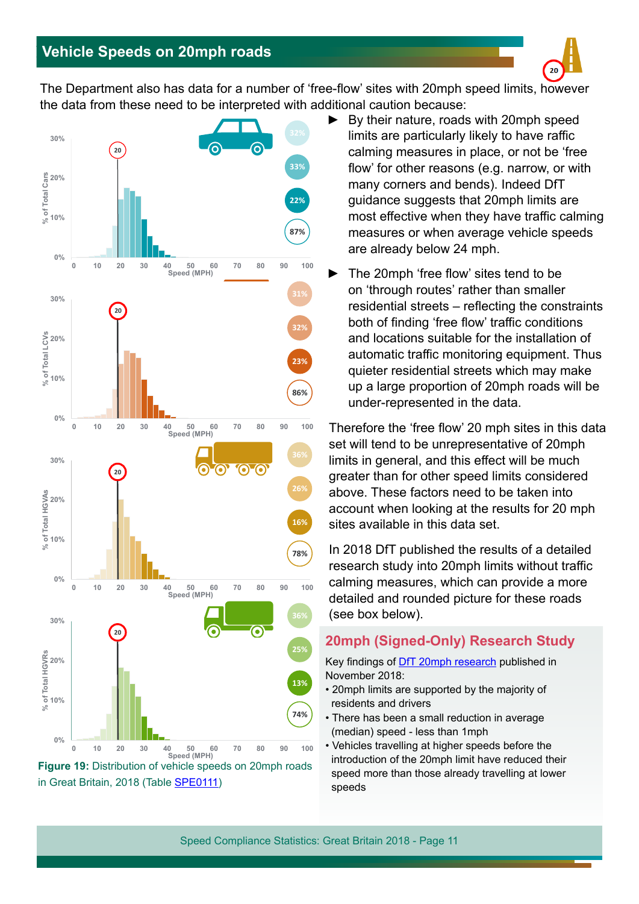

The Department also has data for a number of 'free-fow' sites with 20mph speed limits, however the data from these need to be interpreted with additional caution because:



in Great Britain, 2018 (Table [SPE0111\)](https://www.gov.uk/government/statistical-data-sets/spe01-vehicle-speeds)

- By their nature, roads with 20mph speed limits are particularly likely to have raffic calming measures in place, or not be 'free flow' for other reasons (e.g. narrow, or with many corners and bends). Indeed DfT guidance suggests that 20mph limits are most effective when they have traffic calming measures or when average vehicle speeds are already below 24 mph.
- The 20mph 'free flow' sites tend to be on 'through routes' rather than smaller residential streets – refecting the constraints both of finding 'free flow' traffic conditions and locations suitable for the installation of automatic traffic monitoring equipment. Thus quieter residential streets which may make up a large proportion of 20mph roads will be under-represented in the data.

Therefore the 'free flow' 20 mph sites in this data set will tend to be unrepresentative of 20mph limits in general, and this efect will be much greater than for other speed limits considered above. These factors need to be taken into account when looking at the results for 20 mph sites available in this data set.

In 2018 DfT published the results of a detailed research study into 20mph limits without traffic calming measures, which can provide a more detailed and rounded picture for these roads (see box below).

## **20mph (Signed-Only) Research Study**

Key findings of **DfT 20mph research** published in November 2018:

- 20mph limits are supported by the majority of residents and drivers
- There has been a small reduction in average (median) speed - less than 1mph
- Vehicles travelling at higher speeds before the introduction of the 20mph limit have reduced their speed more than those already travelling at lower speeds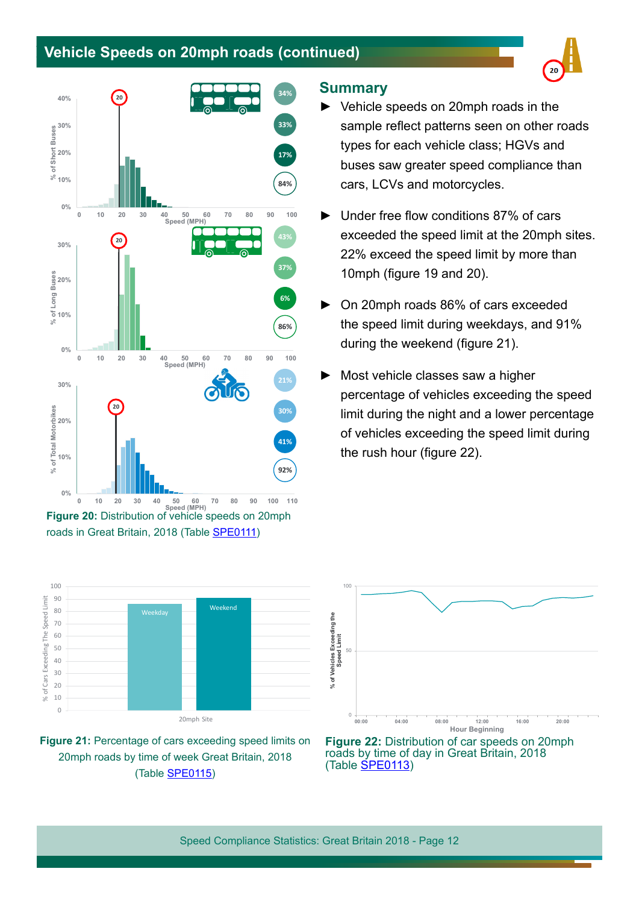## **Vehicle Speeds on 20mph roads (continued)**



**Figure 20:** Distribution of vehicle speeds on 20mph roads in Great Britain, 2018 (Table [SPE0111\)](https://www.gov.uk/government/statistical-data-sets/spe01-vehicle-speeds)





#### **Summary**

- Vehicle speeds on 20mph roads in the sample reflect patterns seen on other roads types for each vehicle class; HGVs and buses saw greater speed compliance than cars, LCVs and motorcycles.
- Under free flow conditions 87% of cars exceeded the speed limit at the 20mph sites. 22% exceed the speed limit by more than 10mph (fgure 19 and 20).
- On 20mph roads 86% of cars exceeded the speed limit during weekdays, and 91% during the weekend (figure 21).
- Most vehicle classes saw a higher percentage of vehicles exceeding the speed limit during the night and a lower percentage of vehicles exceeding the speed limit during the rush hour (figure 22).



**Figure 22:** Distribution of car speeds on 20mph roads by time of day in Great Britain, 2018 (Table **SPE0113**)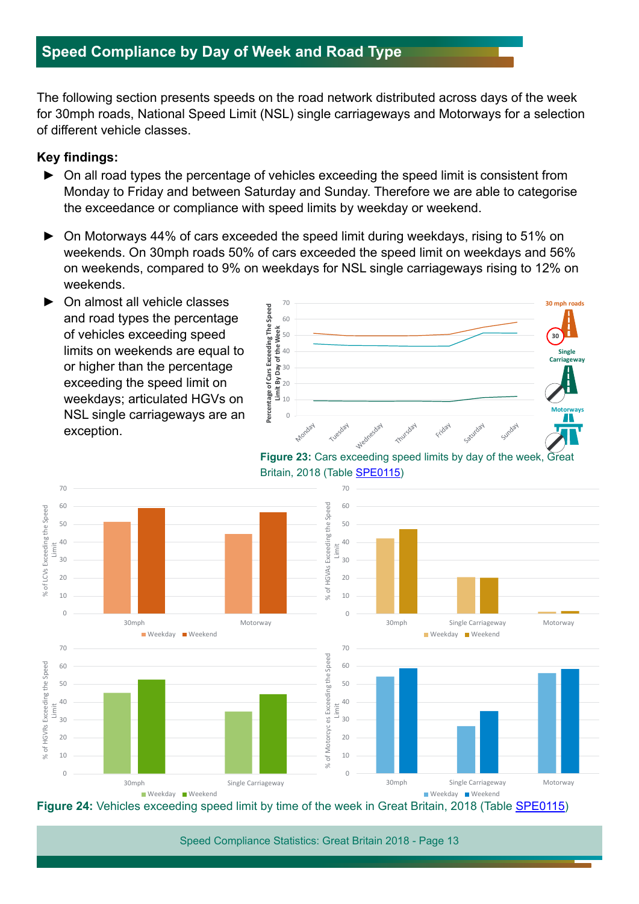## **Speed Compliance by Day of Week and Road Type**

The following section presents speeds on the road network distributed across days of the week for 30mph roads, National Speed Limit (NSL) single carriageways and Motorways for a selection of diferent vehicle classes.

#### **Key findings:**

- ► On all road types the percentage of vehicles exceeding the speed limit is consistent from Monday to Friday and between Saturday and Sunday. Therefore we are able to categorise the exceedance or compliance with speed limits by weekday or weekend.
- On Motorways 44% of cars exceeded the speed limit during weekdays, rising to 51% on weekends. On 30mph roads 50% of cars exceeded the speed limit on weekdays and 56% on weekends, compared to 9% on weekdays for NSL single carriageways rising to 12% on weekends.
- On almost all vehicle classes and road types the percentage of vehicles exceeding speed limits on weekends are equal to or higher than the percentage exceeding the speed limit on weekdays; articulated HGVs on NSL single carriageways are an exception.



**Figure 23:** Cars exceeding speed limits by day of the week, Great Britain, 2018 (Table [SPE0115\)](https://www.gov.uk/government/statistical-data-sets/spe01-vehicle-speeds)



**Figure 24:** Vehicles exceeding speed limit by time of the week in Great Britain, 2018 (Table [SPE0115\)](https://www.gov.uk/government/statistical-data-sets/spe01-vehicle-speeds)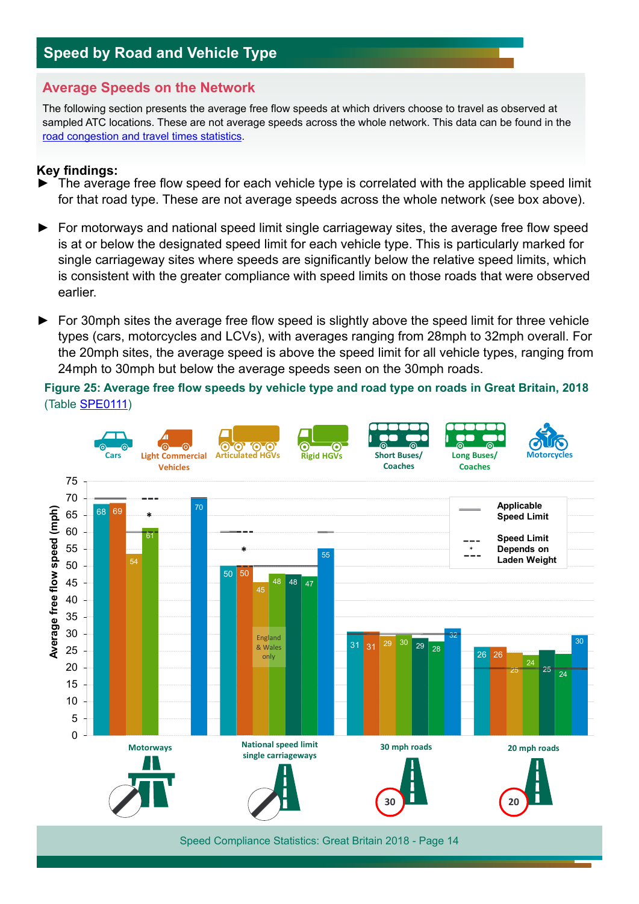## **Speed by Road and Vehicle Type**

## **Average Speeds on the Network**

The following section presents the average free flow speeds at which drivers choose to travel as observed at sampled ATC locations. These are not average speeds across the whole network. This data can be found in the [road congestion and travel times statistics](https://www.gov.uk/government/collections/road-congestion-and-reliability-statistics).

#### **Key findings:**

- ► The average free fow speed for each vehicle type is correlated with the applicable speed limit for that road type. These are not average speeds across the whole network (see box above).
- ► For motorways and national speed limit single carriageway sites, the average free fow speed is at or below the designated speed limit for each vehicle type. This is particularly marked for single carriageway sites where speeds are signifcantly below the relative speed limits, which is consistent with the greater compliance with speed limits on those roads that were observed earlier.
- ► For 30mph sites the average free flow speed is slightly above the speed limit for three vehicle types (cars, motorcycles and LCVs), with averages ranging from 28mph to 32mph overall. For the 20mph sites, the average speed is above the speed limit for all vehicle types, ranging from 24mph to 30mph but below the average speeds seen on the 30mph roads.

**Figure 25: Average free fow speeds by vehicle type and road type on roads in Great Britain, 2018**  (Table [SPE0111\)](https://www.gov.uk/government/statistical-data-sets/spe01-vehicle-speeds)

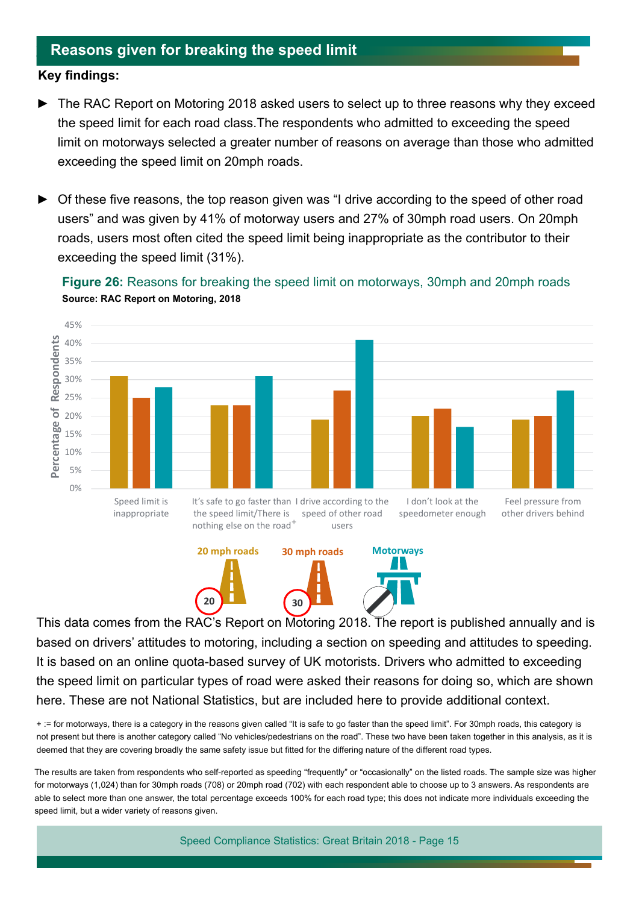## **Reasons given for breaking the speed limit**

#### **Key findings:**

- The RAC Report on Motoring 2018 asked users to select up to three reasons why they exceed the speed limit for each road class.The respondents who admitted to exceeding the speed limit on motorways selected a greater number of reasons on average than those who admitted exceeding the speed limit on 20mph roads.
- Of these five reasons, the top reason given was "I drive according to the speed of other road users" and was given by 41% of motorway users and 27% of 30mph road users. On 20mph roads, users most often cited the speed limit being inappropriate as the contributor to their exceeding the speed limit (31%).







This data comes from the RAC's Report on Motoring 2018. The report is published annually and is based on drivers' attitudes to motoring, including a section on speeding and attitudes to speeding. It is based on an online quota-based survey of UK motorists. Drivers who admitted to exceeding the speed limit on particular types of road were asked their reasons for doing so, which are shown here. These are not National Statistics, but are included here to provide additional context.

+ := for motorways, there is a category in the reasons given called "It is safe to go faster than the speed limit". For 30mph roads, this category is not present but there is another category called "No vehicles/pedestrians on the road". These two have been taken together in this analysis, as it is deemed that they are covering broadly the same safety issue but fitted for the differing nature of the different road types.

The results are taken from respondents who self-reported as speeding "frequently" or "occasionally" on the listed roads. The sample size was higher for motorways (1,024) than for 30mph roads (708) or 20mph road (702) with each respondent able to choose up to 3 answers. As respondents are able to select more than one answer, the total percentage exceeds 100% for each road type; this does not indicate more individuals exceeding the speed limit, but a wider variety of reasons given.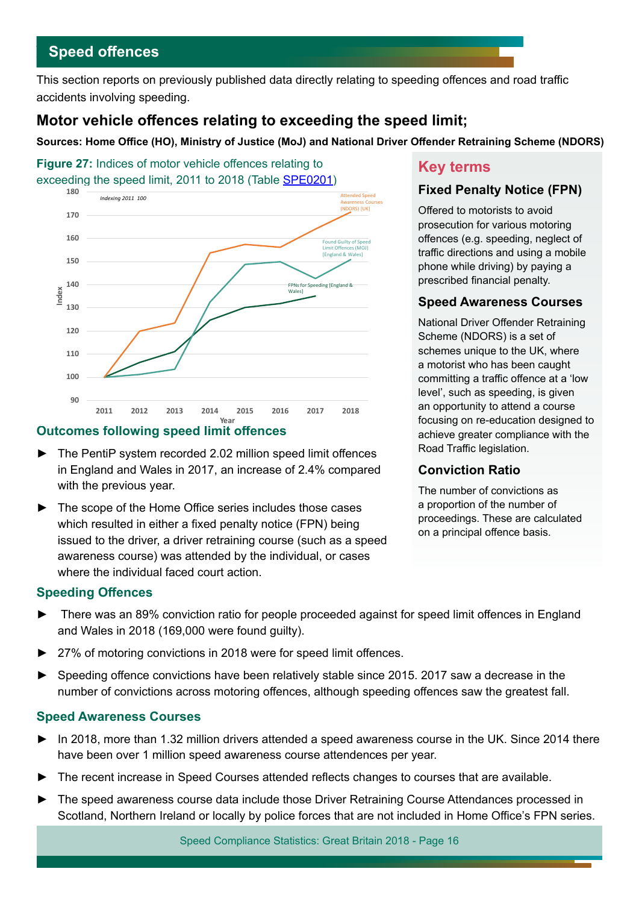## **Speed ofences**

This section reports on previously published data directly relating to speeding offences and road traffic accidents involving speeding.

## **Motor vehicle ofences relating to exceeding the speed limit;**

Sources: Home Office (HO), Ministry of Justice (MoJ) and National Driver Offender Retraining Scheme (NDORS)

**Figure 27:** Indices of motor vehicle offences relating to Figure 27: Indices of motor venicle offences relating to **Key ferms**<br>exceeding the speed limit, 2011 to 2018 (Table [SPE0201](https://www.gov.uk/government/statistical-data-sets/speeding-offences-and-reported-accidents-involving-speeding-spe02))



## **Outcomes following speed limit ofences**

- The PentiP system recorded 2.02 million speed limit offences in England and Wales in 2017, an increase of 2.4% compared with the previous year.
- The scope of the Home Office series includes those cases which resulted in either a fixed penalty notice (FPN) being issued to the driver, a driver retraining course (such as a speed awareness course) was attended by the individual, or cases where the individual faced court action.

## **Fixed Penalty Notice (FPN)**

Ofered to motorists to avoid prosecution for various motoring ofences (e.g. speeding, neglect of traffic directions and using a mobile phone while driving) by paying a prescribed fnancial penalty.

#### **Speed Awareness Courses**

National Driver Ofender Retraining Scheme (NDORS) is a set of schemes unique to the UK, where a motorist who has been caught committing a traffic offence at a 'low level', such as speeding, is given an opportunity to attend a course focusing on re-education designed to achieve greater compliance with the Road Traffic legislation.

## **Conviction Ratio**

The number of convictions as a proportion of the number of proceedings. These are calculated on a principal offence basis.

## **Speeding Ofences**

- There was an 89% conviction ratio for people proceeded against for speed limit offences in England and Wales in 2018 (169,000 were found guilty).
- 27% of motoring convictions in 2018 were for speed limit offences.
- ► Speeding ofence convictions have been relatively stable since 2015. 2017 saw a decrease in the number of convictions across motoring offences, although speeding offences saw the greatest fall.

#### **Speed Awareness Courses**

- ► In 2018, more than 1.32 million drivers attended a speed awareness course in the UK. Since 2014 there have been over 1 million speed awareness course attendences per year.
- The recent increase in Speed Courses attended reflects changes to courses that are available.
- The speed awareness course data include those Driver Retraining Course Attendances processed in Scotland, Northern Ireland or locally by police forces that are not included in Home Office's FPN series.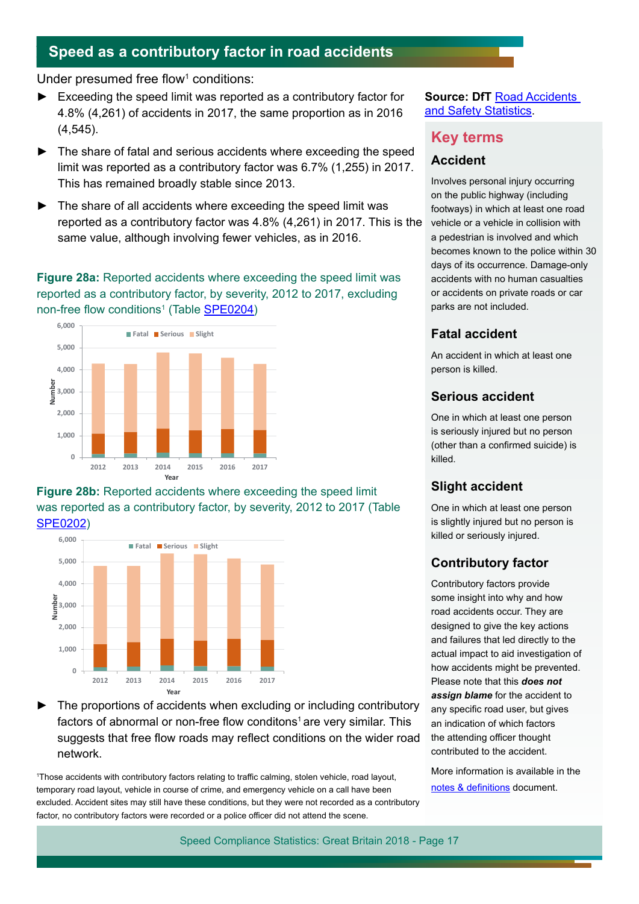## **Speed as a contributory factor in road accidents**

Under presumed free flow<sup>1</sup> conditions:

- Exceeding the speed limit was reported as a contributory factor for 4.8% (4,261) of accidents in 2017, the same proportion as in 2016 (4,545).
- ► The share of fatal and serious accidents where exceeding the speed limit was reported as a contributory factor was 6.7% (1,255) in 2017. This has remained broadly stable since 2013.
- The share of all accidents where exceeding the speed limit was reported as a contributory factor was 4.8% (4,261) in 2017. This is the same value, although involving fewer vehicles, as in 2016.

#### **Figure 28a:** Reported accidents where exceeding the speed limit was reported as a contributory factor, by severity, 2012 to 2017, excluding non-free flow conditions<sup>1</sup> (Table <u>SPE0204</u>)



**Figure 28b:** Reported accidents where exceeding the speed limit was reported as a contributory factor, by severity, 2012 to 2017 (Table [SPE0202\)](https://www.gov.uk/government/statistical-data-sets/speeding-offences-and-reported-accidents-involving-speeding-spe02)



The proportions of accidents when excluding or including contributory factors of abnormal or non-free flow conditons<sup>1</sup> are very similar. This suggests that free flow roads may reflect conditions on the wider road network.

<sup>1</sup>Those accidents with contributory factors relating to traffic calming, stolen vehicle, road layout, temporary road layout, vehicle in course of crime, and emergency vehicle on a call have been excluded. Accident sites may still have these conditions, but they were not recorded as a contributory factor, no contributory factors were recorded or a police officer did not attend the scene.

#### **Source: DfT Road Accidents** [and Safety Statistics.](https://www.gov.uk/government/statistics/reported-road-casualties-great-britain-annual-report-2017)

## **Key terms**

#### **Accident**

Involves personal injury occurring on the public highway (including footways) in which at least one road vehicle or a vehicle in collision with a pedestrian is involved and which becomes known to the police within 30 days of its occurrence. Damage-only accidents with no human casualties or accidents on private roads or car parks are not included.

## **Fatal accident**

An accident in which at least one person is killed.

### **Serious accident**

One in which at least one person is seriously injured but no person (other than a confrmed suicide) is killed.

## **Slight accident**

One in which at least one person is slightly injured but no person is killed or seriously injured.

## **Contributory factor**

Contributory factors provide some insight into why and how road accidents occur. They are designed to give the key actions and failures that led directly to the actual impact to aid investigation of how accidents might be prevented. Please note that this *does not assign blame* for the accident to any specific road user, but gives an indication of which factors the attending officer thought contributed to the accident.

More information is available in the notes & definitions document.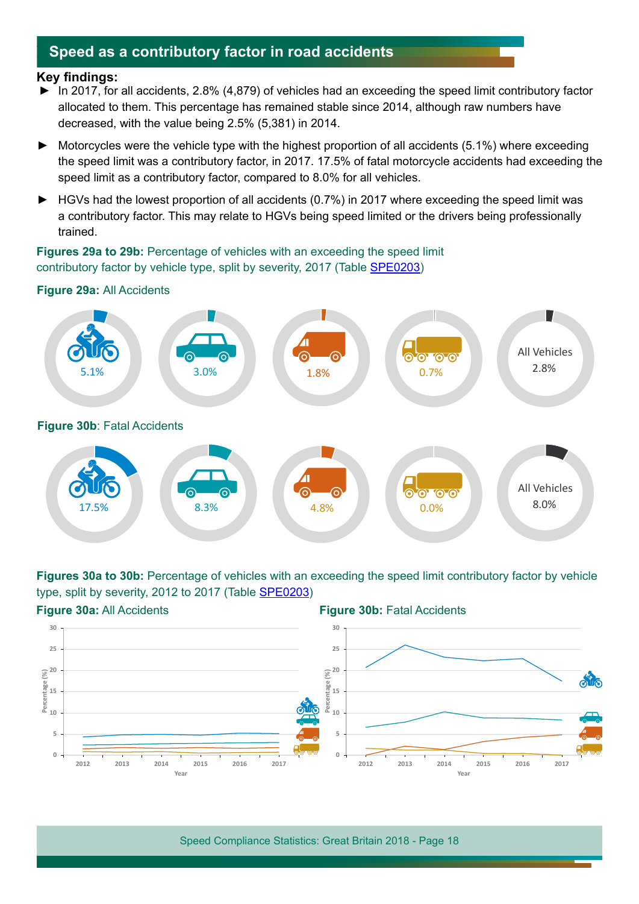## **Speed as a contributory factor in road accidents**

#### **Key findings:**

- ► In 2017, for all accidents, 2.8% (4,879) of vehicles had an exceeding the speed limit contributory factor allocated to them. This percentage has remained stable since 2014, although raw numbers have decreased, with the value being 2.5% (5,381) in 2014.
- ► Motorcycles were the vehicle type with the highest proportion of all accidents (5.1%) where exceeding the speed limit was a contributory factor, in 2017. 17.5% of fatal motorcycle accidents had exceeding the speed limit as a contributory factor, compared to 8.0% for all vehicles.
- ► HGVs had the lowest proportion of all accidents (0.7%) in 2017 where exceeding the speed limit was a contributory factor. This may relate to HGVs being speed limited or the drivers being professionally trained.

**Figures 29a to 29b:** Percentage of vehicles with an exceeding the speed limit contributory factor by vehicle type, split by severity, 2017 (Table [SPE0203\)](https://www.gov.uk/government/statistical-data-sets/speeding-offences-and-reported-accidents-involving-speeding-spe02)

#### **Figure 29a:** All Accidents



**Figures 30a to 30b:** Percentage of vehicles with an exceeding the speed limit contributory factor by vehicle type, split by severity, 2012 to 2017 (Table [SPE0203\)](https://www.gov.uk/government/statistical-data-sets/speeding-offences-and-reported-accidents-involving-speeding-spe02)

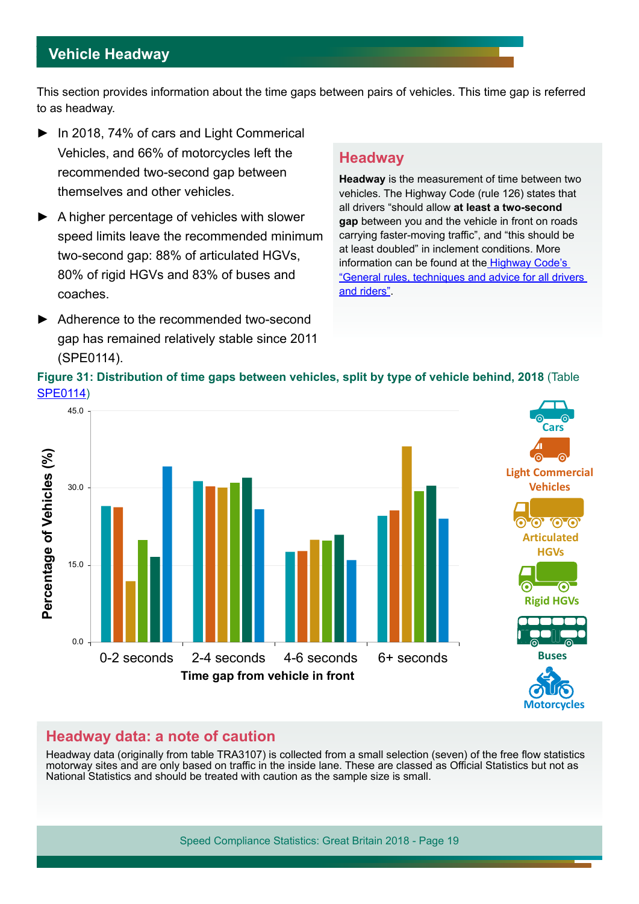## **Vehicle Headway**

This section provides information about the time gaps between pairs of vehicles. This time gap is referred to as headway.

- ► In 2018, 74% of cars and Light Commerical Vehicles, and 66% of motorcycles left the recommended two-second gap between themselves and other vehicles.
- ► A higher percentage of vehicles with slower speed limits leave the recommended minimum two-second gap: 88% of articulated HGVs, 80% of rigid HGVs and 83% of buses and coaches.
- ► Adherence to the recommended two-second gap has remained relatively stable since 2011 (SPE0114).

## **Headway**

**Headway** is the measurement of time between two vehicles. The Highway Code (rule 126) states that all drivers "should allow **at least a two-second gap** between you and the vehicle in front on roads carrying faster-moving traffic", and "this should be at least doubled" in inclement conditions. More information can be found at the **Highway Code's** ["General rules, techniques and advice for all drivers](https://www.gov.uk/guidance/the-highway-code/general-rules-techniques-and-advice-for-all-drivers-and-riders-103-to-158)  [and riders](https://www.gov.uk/guidance/the-highway-code/general-rules-techniques-and-advice-for-all-drivers-and-riders-103-to-158)".



## **Headway data: a note of caution**

Headway data (originally from table TRA3107) is collected from a small selection (seven) of the free fow statistics motorway sites and are only based on traffic in the inside lane. These are classed as Official Statistics but not as National Statistics and should be treated with caution as the sample size is small.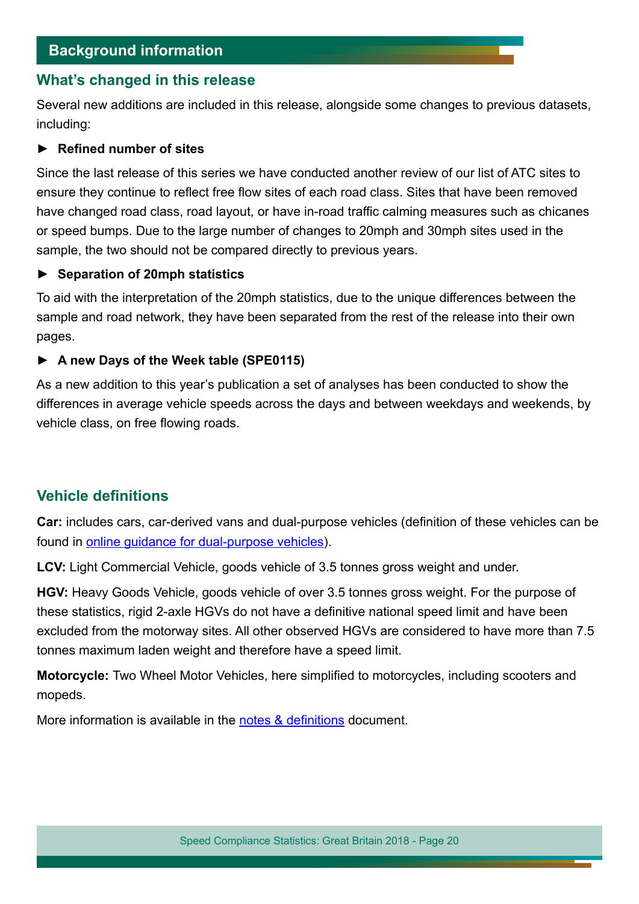## **Background information**

## **What's changed in this release**

Several new additions are included in this release, alongside some changes to previous datasets, including:

#### ► **Refned number of sites**

Since the last release of this series we have conducted another review of our list of ATC sites to ensure they continue to reflect free flow sites of each road class. Sites that have been removed have changed road class, road layout, or have in-road traffic calming measures such as chicanes or speed bumps. Due to the large number of changes to 20mph and 30mph sites used in the sample, the two should not be compared directly to previous years.

#### ► **Separation of 20mph statistics**

To aid with the interpretation of the 20mph statistics, due to the unique diferences between the sample and road network, they have been separated from the rest of the release into their own pages.

#### ► **A new Days of the Week table (SPE0115)**

As a new addition to this year's publication a set of analyses has been conducted to show the diferences in average vehicle speeds across the days and between weekdays and weekends, by vehicle class, on free flowing roads.

## **Vehicle definitions**

**Car:** includes cars, car-derived vans and dual-purpose vehicles (defnition of these vehicles can be found in [online guidance for dual-purpose vehicles\)](https://www.gov.uk/government/publications/car-derived-vans-and-dual-purpose-vehicles).

**LCV:** Light Commercial Vehicle, goods vehicle of 3.5 tonnes gross weight and under.

**HGV:** Heavy Goods Vehicle, goods vehicle of over 3.5 tonnes gross weight. For the purpose of these statistics, rigid 2-axle HGVs do not have a defnitive national speed limit and have been excluded from the motorway sites. All other observed HGVs are considered to have more than 7.5 tonnes maximum laden weight and therefore have a speed limit.

**Motorcycle:** Two Wheel Motor Vehicles, here simplifed to motorcycles, including scooters and mopeds.

More information is available in the notes & definitions document.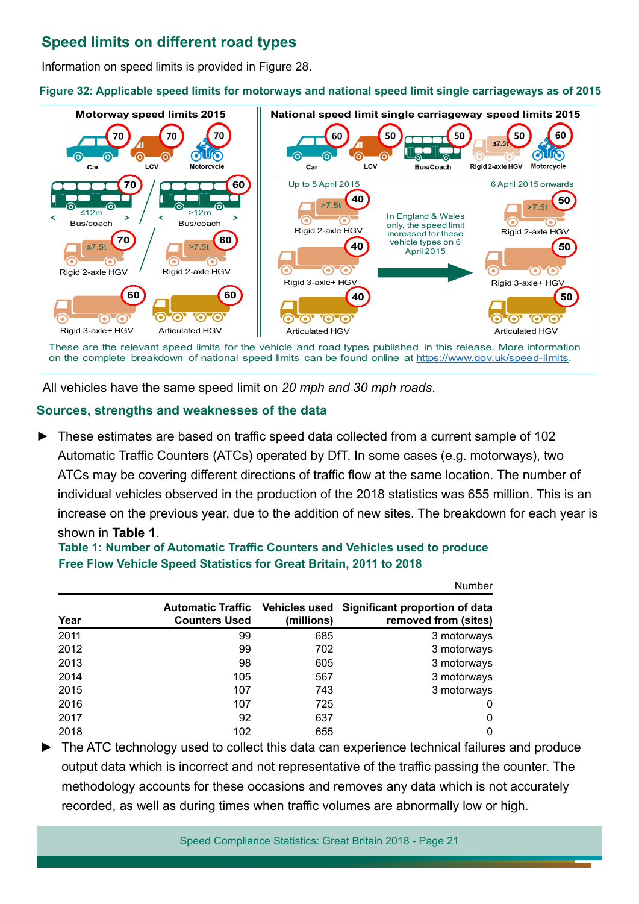## **Speed limits on diferent road types**

Information on speed limits is provided in Figure 28.

**Figure 32: Applicable speed limits for motorways and national speed limit single carriageways as of 2015**



All vehicles have the same speed limit on *20 mph and 30 mph roads*.

#### **Sources, strengths and weaknesses of the data**

These estimates are based on traffic speed data collected from a current sample of 102 Automatic Traffic Counters (ATCs) operated by DfT. In some cases (e.g. motorways), two ATCs may be covering different directions of traffic flow at the same location. The number of individual vehicles observed in the production of the 2018 statistics was 655 million. This is an increase on the previous year, due to the addition of new sites. The breakdown for each year is shown in **Table 1**.

#### **Table 1: Number of Automatic Traffic Counters and Vehicles used to produce Free Flow Vehicle Speed Statistics for Great Britain, 2011 to 2018**

|      |                                                                |            | Number                                                 |
|------|----------------------------------------------------------------|------------|--------------------------------------------------------|
| Year | <b>Automatic Traffic</b> Vehicles used<br><b>Counters Used</b> | (millions) | Significant proportion of data<br>removed from (sites) |
| 2011 | 99                                                             | 685        | 3 motorways                                            |
| 2012 | 99                                                             | 702        | 3 motorways                                            |
| 2013 | 98                                                             | 605        | 3 motorways                                            |
| 2014 | 105                                                            | 567        | 3 motorways                                            |
| 2015 | 107                                                            | 743        | 3 motorways                                            |
| 2016 | 107                                                            | 725        | 0                                                      |
| 2017 | 92                                                             | 637        | 0                                                      |
| 2018 | 102                                                            | 655        | 0                                                      |

The ATC technology used to collect this data can experience technical failures and produce output data which is incorrect and not representative of the traffic passing the counter. The methodology accounts for these occasions and removes any data which is not accurately recorded, as well as during times when traffic volumes are abnormally low or high.